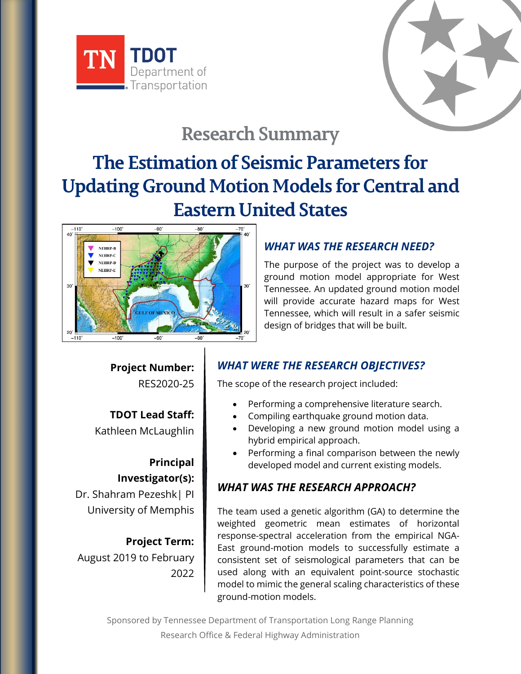



## **Research Summary**

# **The Estimation of Seismic Parameters for Updating Ground Motion Models for Central and Eastern United States**



### *WHAT WAS THE RESEARCH NEED?*

The purpose of the project was to develop a ground motion model appropriate for West Tennessee. An updated ground motion model will provide accurate hazard maps for West Tennessee, which will result in a safer seismic design of bridges that will be built.

**Project Number:** RES2020-25

**TDOT Lead Staff:** Kathleen McLaughlin

**Principal Investigator(s):** Dr. Shahram Pezeshk| PI University of Memphis

**Project Term:** August 2019 to February 2022

#### *WHAT WERE THE RESEARCH OBJECTIVES?*

The scope of the research project included:

- Performing a comprehensive literature search.
- Compiling earthquake ground motion data.
- Developing a new ground motion model using a hybrid empirical approach.
- Performing a final comparison between the newly developed model and current existing models.

## *WHAT WAS THE RESEARCH APPROACH?*

The team used a genetic algorithm (GA) to determine the weighted geometric mean estimates of horizontal response-spectral acceleration from the empirical NGA-East ground-motion models to successfully estimate a consistent set of seismological parameters that can be used along with an equivalent point-source stochastic model to mimic the general scaling characteristics of these ground-motion models.

Sponsored by Tennessee Department of Transportation Long Range Planning Research Office & Federal Highway Administration